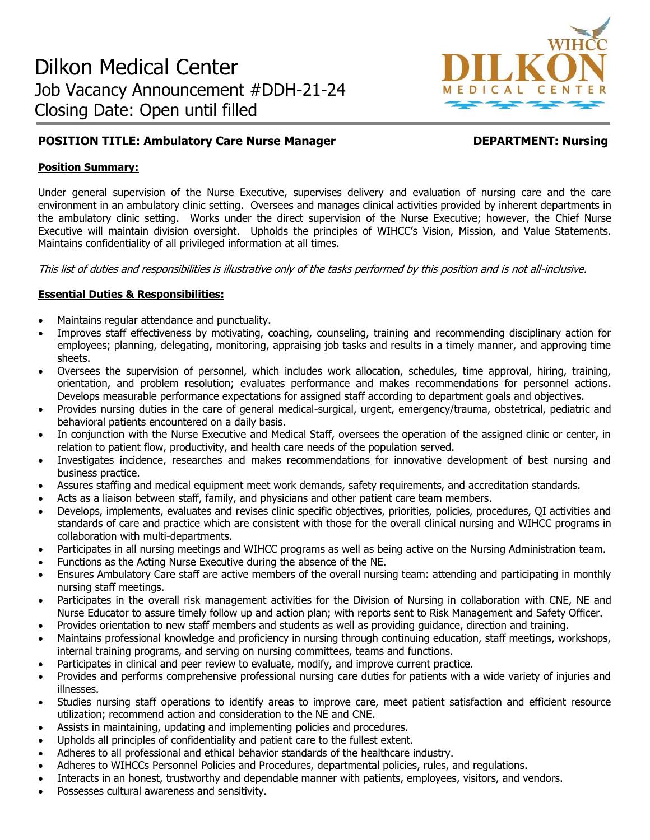

# **POSITION TITLE: Ambulatory Care Nurse Manager Manager DEPARTMENT: Nursing**

## **Position Summary:**

Under general supervision of the Nurse Executive, supervises delivery and evaluation of nursing care and the care environment in an ambulatory clinic setting. Oversees and manages clinical activities provided by inherent departments in the ambulatory clinic setting. Works under the direct supervision of the Nurse Executive; however, the Chief Nurse Executive will maintain division oversight. Upholds the principles of WIHCC's Vision, Mission, and Value Statements. Maintains confidentiality of all privileged information at all times.

This list of duties and responsibilities is illustrative only of the tasks performed by this position and is not all-inclusive.

# **Essential Duties & Responsibilities:**

- Maintains regular attendance and punctuality.
- Improves staff effectiveness by motivating, coaching, counseling, training and recommending disciplinary action for employees; planning, delegating, monitoring, appraising job tasks and results in a timely manner, and approving time sheets.
- Oversees the supervision of personnel, which includes work allocation, schedules, time approval, hiring, training, orientation, and problem resolution; evaluates performance and makes recommendations for personnel actions. Develops measurable performance expectations for assigned staff according to department goals and objectives.
- Provides nursing duties in the care of general medical-surgical, urgent, emergency/trauma, obstetrical, pediatric and behavioral patients encountered on a daily basis.
- In conjunction with the Nurse Executive and Medical Staff, oversees the operation of the assigned clinic or center, in relation to patient flow, productivity, and health care needs of the population served.
- Investigates incidence, researches and makes recommendations for innovative development of best nursing and business practice.
- Assures staffing and medical equipment meet work demands, safety requirements, and accreditation standards.
- Acts as a liaison between staff, family, and physicians and other patient care team members.
- Develops, implements, evaluates and revises clinic specific objectives, priorities, policies, procedures, QI activities and standards of care and practice which are consistent with those for the overall clinical nursing and WIHCC programs in collaboration with multi-departments.
- Participates in all nursing meetings and WIHCC programs as well as being active on the Nursing Administration team.
- Functions as the Acting Nurse Executive during the absence of the NE.
- Ensures Ambulatory Care staff are active members of the overall nursing team: attending and participating in monthly nursing staff meetings.
- Participates in the overall risk management activities for the Division of Nursing in collaboration with CNE, NE and Nurse Educator to assure timely follow up and action plan; with reports sent to Risk Management and Safety Officer.
- Provides orientation to new staff members and students as well as providing guidance, direction and training.
- Maintains professional knowledge and proficiency in nursing through continuing education, staff meetings, workshops, internal training programs, and serving on nursing committees, teams and functions.
- Participates in clinical and peer review to evaluate, modify, and improve current practice.
- Provides and performs comprehensive professional nursing care duties for patients with a wide variety of injuries and illnesses.
- Studies nursing staff operations to identify areas to improve care, meet patient satisfaction and efficient resource utilization; recommend action and consideration to the NE and CNE.
- Assists in maintaining, updating and implementing policies and procedures.
- Upholds all principles of confidentiality and patient care to the fullest extent.
- Adheres to all professional and ethical behavior standards of the healthcare industry.
- Adheres to WIHCCs Personnel Policies and Procedures, departmental policies, rules, and regulations.
- Interacts in an honest, trustworthy and dependable manner with patients, employees, visitors, and vendors.
- Possesses cultural awareness and sensitivity.